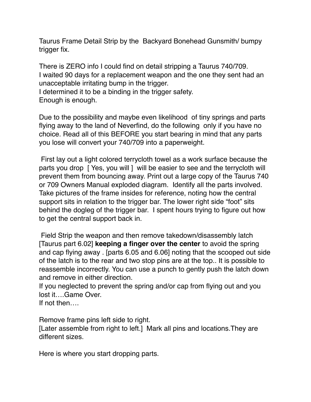Taurus Frame Detail Strip by the Backyard Bonehead Gunsmith/ bumpy trigger fix.

There is ZERO info I could find on detail stripping a Taurus 740/709. I waited 90 days for a replacement weapon and the one they sent had an unacceptable irritating bump in the trigger.

I determined it to be a binding in the trigger safety.

Enough is enough.

Due to the possibility and maybe even likelihood of tiny springs and parts flying away to the land of Neverfind, do the following only if you have no choice. Read all of this BEFORE you start bearing in mind that any parts you lose will convert your 740/709 into a paperweight.

 First lay out a light colored terrycloth towel as a work surface because the parts you drop [ Yes, you will ] will be easier to see and the terrycloth will prevent them from bouncing away. Print out a large copy of the Taurus 740 or 709 Owners Manual exploded diagram. Identify all the parts involved. Take pictures of the frame insides for reference, noting how the central support sits in relation to the trigger bar. The lower right side "foot" sits behind the dogleg of the trigger bar. I spent hours trying to figure out how to get the central support back in.

 Field Strip the weapon and then remove takedown/disassembly latch [Taurus part 6.02] **keeping a finger over the center** to avoid the spring and cap flying away . [parts 6.05 and 6.06] noting that the scooped out side of the latch is to the rear and two stop pins are at the top.. It is possible to reassemble incorrectly. You can use a punch to gently push the latch down and remove in either direction.

If you neglected to prevent the spring and/or cap from flying out and you lost it….Game Over.

If not then….

Remove frame pins left side to right.

[Later assemble from right to left.] Mark all pins and locations.They are different sizes.

Here is where you start dropping parts.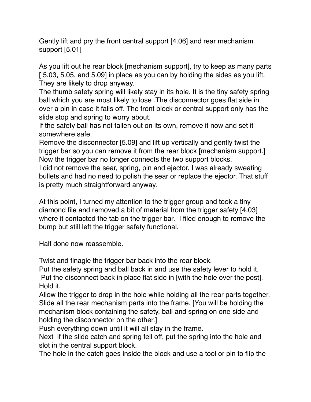Gently lift and pry the front central support [4.06] and rear mechanism support [5.01]

As you lift out he rear block [mechanism support], try to keep as many parts [ 5.03, 5.05, and 5.09] in place as you can by holding the sides as you lift. They are likely to drop anyway.

The thumb safety spring will likely stay in its hole. It is the tiny safety spring ball which you are most likely to lose .The disconnector goes flat side in over a pin in case it falls off. The front block or central support only has the slide stop and spring to worry about.

If the safety ball has not fallen out on its own, remove it now and set it somewhere safe.

Remove the disconnector [5.09] and lift up vertically and gently twist the trigger bar so you can remove it from the rear block [mechanism support.] Now the trigger bar no longer connects the two support blocks.

I did not remove the sear, spring, pin and ejector. I was already sweating bullets and had no need to polish the sear or replace the ejector. That stuff is pretty much straightforward anyway.

At this point, I turned my attention to the trigger group and took a tiny diamond file and removed a bit of material from the trigger safety [4.03] where it contacted the tab on the trigger bar. I filed enough to remove the bump but still left the trigger safety functional.

Half done now reassemble.

Twist and finagle the trigger bar back into the rear block.

Put the safety spring and ball back in and use the safety lever to hold it. Put the disconnect back in place flat side in [with the hole over the post]. Hold it.

Allow the trigger to drop in the hole while holding all the rear parts together. Slide all the rear mechanism parts into the frame. [You will be holding the mechanism block containing the safety, ball and spring on one side and holding the disconnector on the other.]

Push everything down until it will all stay in the frame.

Next if the slide catch and spring fell off, put the spring into the hole and slot in the central support block.

The hole in the catch goes inside the block and use a tool or pin to flip the